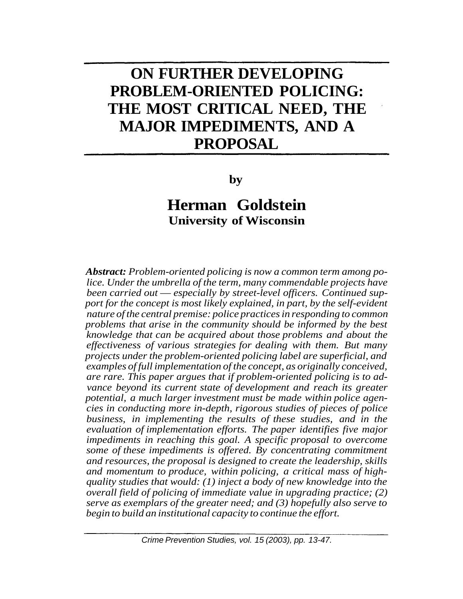# **ON FURTHER DEVELOPING PROBLEM-ORIENTED POLICING: THE MOST CRITICAL NEED, THE MAJOR IMPEDIMENTS, AND A PROPOSAL**

**by**

# **Herman Goldstein University of Wisconsin**

*Abstract: Problem-oriented policing is now a common term among police. Under the umbrella of the term, many commendable projects have been carried out* — *especially by street-level officers. Continued support for the concept is most likely explained, in part, by the self-evident nature of the central premise: police practices in responding to common problems that arise in the community should be informed by the best knowledge that can be acquired about those problems and about the effectiveness of various strategies for dealing with them. But many projects under the problem-oriented policing label are superficial, and examples of full implementation of the concept, as originally conceived, are rare. This paper argues that if problem-oriented policing is to advance beyond its current state of development and reach its greater potential, a much larger investment must be made within police agencies in conducting more in-depth, rigorous studies of pieces of police business, in implementing the results of these studies, and in the evaluation of implementation efforts. The paper identifies five major impediments in reaching this goal. A specific proposal to overcome some of these impediments is offered. By concentrating commitment and resources, the proposal is designed to create the leadership, skills and momentum to produce, within policing, a critical mass of highquality studies that would: (1) inject a body of new knowledge into the overall field of policing of immediate value in upgrading practice; (2) serve as exemplars of the greater need; and (3) hopefully also serve to begin to build an institutional capacity to continue the effort.*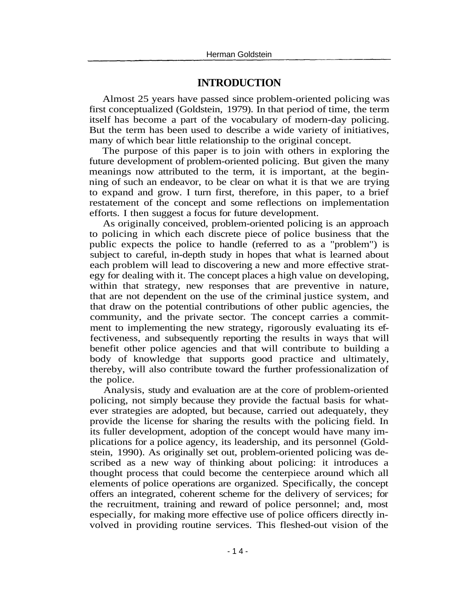#### **INTRODUCTION**

Almost 25 years have passed since problem-oriented policing was first conceptualized (Goldstein, 1979). In that period of time, the term itself has become a part of the vocabulary of modern-day policing. But the term has been used to describe a wide variety of initiatives, many of which bear little relationship to the original concept.

The purpose of this paper is to join with others in exploring the future development of problem-oriented policing. But given the many meanings now attributed to the term, it is important, at the beginning of such an endeavor, to be clear on what it is that we are trying to expand and grow. I turn first, therefore, in this paper, to a brief restatement of the concept and some reflections on implementation efforts. I then suggest a focus for future development.

As originally conceived, problem-oriented policing is an approach to policing in which each discrete piece of police business that the public expects the police to handle (referred to as a "problem") is subject to careful, in-depth study in hopes that what is learned about each problem will lead to discovering a new and more effective strategy for dealing with it. The concept places a high value on developing, within that strategy, new responses that are preventive in nature, that are not dependent on the use of the criminal justice system, and that draw on the potential contributions of other public agencies, the community, and the private sector. The concept carries a commitment to implementing the new strategy, rigorously evaluating its effectiveness, and subsequently reporting the results in ways that will benefit other police agencies and that will contribute to building a body of knowledge that supports good practice and ultimately, thereby, will also contribute toward the further professionalization of the police.

Analysis, study and evaluation are at the core of problem-oriented policing, not simply because they provide the factual basis for whatever strategies are adopted, but because, carried out adequately, they provide the license for sharing the results with the policing field. In its fuller development, adoption of the concept would have many implications for a police agency, its leadership, and its personnel (Goldstein, 1990). As originally set out, problem-oriented policing was described as a new way of thinking about policing: it introduces a thought process that could become the centerpiece around which all elements of police operations are organized. Specifically, the concept offers an integrated, coherent scheme for the delivery of services; for the recruitment, training and reward of police personnel; and, most especially, for making more effective use of police officers directly involved in providing routine services. This fleshed-out vision of the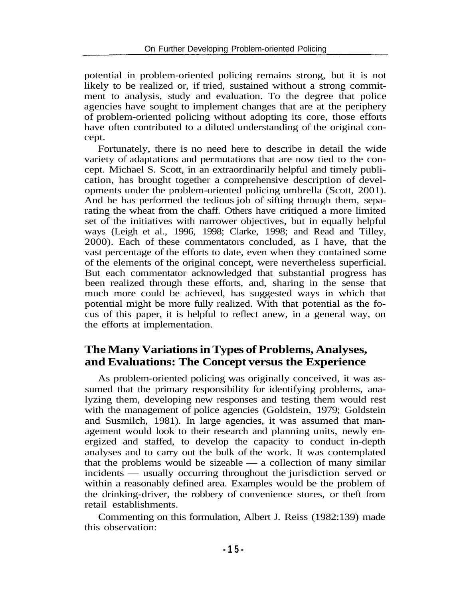potential in problem-oriented policing remains strong, but it is not likely to be realized or, if tried, sustained without a strong commitment to analysis, study and evaluation. To the degree that police agencies have sought to implement changes that are at the periphery of problem-oriented policing without adopting its core, those efforts have often contributed to a diluted understanding of the original concept.

Fortunately, there is no need here to describe in detail the wide variety of adaptations and permutations that are now tied to the concept. Michael S. Scott, in an extraordinarily helpful and timely publication, has brought together a comprehensive description of developments under the problem-oriented policing umbrella (Scott, 2001). And he has performed the tedious job of sifting through them, separating the wheat from the chaff. Others have critiqued a more limited set of the initiatives with narrower objectives, but in equally helpful ways (Leigh et al., 1996, 1998; Clarke, 1998; and Read and Tilley, 2000). Each of these commentators concluded, as I have, that the vast percentage of the efforts to date, even when they contained some of the elements of the original concept, were nevertheless superficial. But each commentator acknowledged that substantial progress has been realized through these efforts, and, sharing in the sense that much more could be achieved, has suggested ways in which that potential might be more fully realized. With that potential as the focus of this paper, it is helpful to reflect anew, in a general way, on the efforts at implementation.

# **The Many Variations in Types of Problems, Analyses, and Evaluations: The Concept versus the Experience**

As problem-oriented policing was originally conceived, it was assumed that the primary responsibility for identifying problems, analyzing them, developing new responses and testing them would rest with the management of police agencies (Goldstein, 1979; Goldstein and Susmilch, 1981). In large agencies, it was assumed that management would look to their research and planning units, newly energized and staffed, to develop the capacity to conduct in-depth analyses and to carry out the bulk of the work. It was contemplated that the problems would be sizeable — a collection of many similar incidents — usually occurring throughout the jurisdiction served or within a reasonably defined area. Examples would be the problem of the drinking-driver, the robbery of convenience stores, or theft from retail establishments.

Commenting on this formulation, Albert J. Reiss (1982:139) made this observation: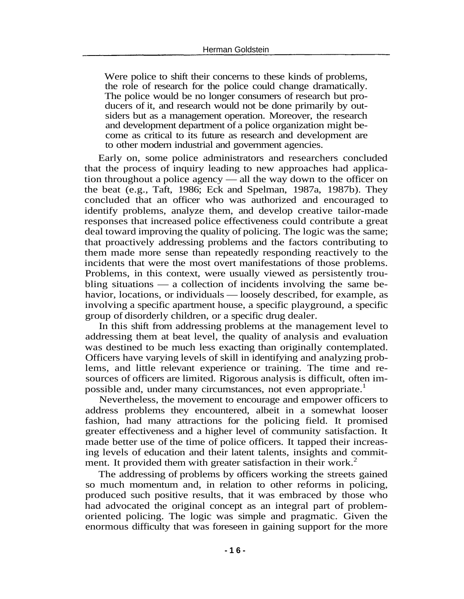Were police to shift their concerns to these kinds of problems, the role of research for the police could change dramatically. The police would be no longer consumers of research but producers of it, and research would not be done primarily by outsiders but as a management operation. Moreover, the research and development department of a police organization might become as critical to its future as research and development are to other modern industrial and government agencies.

Early on, some police administrators and researchers concluded that the process of inquiry leading to new approaches had application throughout a police agency — all the way down to the officer on the beat (e.g., Taft, 1986; Eck and Spelman, 1987a, 1987b). They concluded that an officer who was authorized and encouraged to identify problems, analyze them, and develop creative tailor-made responses that increased police effectiveness could contribute a great deal toward improving the quality of policing. The logic was the same; that proactively addressing problems and the factors contributing to them made more sense than repeatedly responding reactively to the incidents that were the most overt manifestations of those problems. Problems, in this context, were usually viewed as persistently troubling situations — a collection of incidents involving the same behavior, locations, or individuals — loosely described, for example, as involving a specific apartment house, a specific playground, a specific group of disorderly children, or a specific drug dealer.

In this shift from addressing problems at the management level to addressing them at beat level, the quality of analysis and evaluation was destined to be much less exacting than originally contemplated. Officers have varying levels of skill in identifying and analyzing problems, and little relevant experience or training. The time and resources of officers are limited. Rigorous analysis is difficult, often impossible and, under many circumstances, not even appropriate.<sup>1</sup>

Nevertheless, the movement to encourage and empower officers to address problems they encountered, albeit in a somewhat looser fashion, had many attractions for the policing field. It promised greater effectiveness and a higher level of community satisfaction. It made better use of the time of police officers. It tapped their increasing levels of education and their latent talents, insights and commitment. It provided them with greater satisfaction in their work.<sup>2</sup>

The addressing of problems by officers working the streets gained so much momentum and, in relation to other reforms in policing, produced such positive results, that it was embraced by those who had advocated the original concept as an integral part of problemoriented policing. The logic was simple and pragmatic. Given the enormous difficulty that was foreseen in gaining support for the more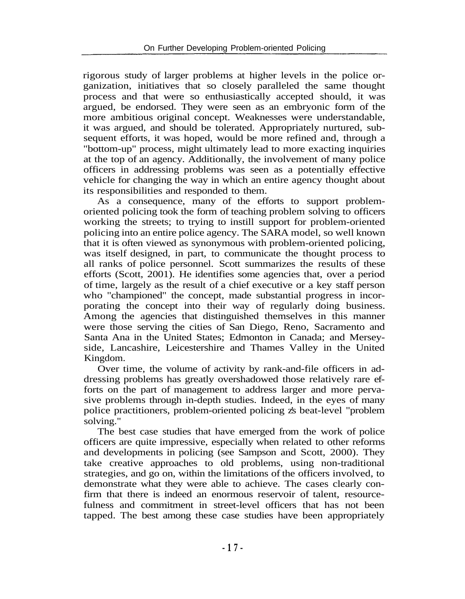rigorous study of larger problems at higher levels in the police organization, initiatives that so closely paralleled the same thought process and that were so enthusiastically accepted should, it was argued, be endorsed. They were seen as an embryonic form of the more ambitious original concept. Weaknesses were understandable, it was argued, and should be tolerated. Appropriately nurtured, subsequent efforts, it was hoped, would be more refined and, through a "bottom-up" process, might ultimately lead to more exacting inquiries at the top of an agency. Additionally, the involvement of many police officers in addressing problems was seen as a potentially effective vehicle for changing the way in which an entire agency thought about its responsibilities and responded to them.

As a consequence, many of the efforts to support problemoriented policing took the form of teaching problem solving to officers working the streets; to trying to instill support for problem-oriented policing into an entire police agency. The SARA model, so well known that it is often viewed as synonymous with problem-oriented policing, was itself designed, in part, to communicate the thought process to all ranks of police personnel. Scott summarizes the results of these efforts (Scott, 2001). He identifies some agencies that, over a period of time, largely as the result of a chief executive or a key staff person who "championed" the concept, made substantial progress in incorporating the concept into their way of regularly doing business. Among the agencies that distinguished themselves in this manner were those serving the cities of San Diego, Reno, Sacramento and Santa Ana in the United States; Edmonton in Canada; and Merseyside, Lancashire, Leicestershire and Thames Valley in the United Kingdom.

Over time, the volume of activity by rank-and-file officers in addressing problems has greatly overshadowed those relatively rare efforts on the part of management to address larger and more pervasive problems through in-depth studies. Indeed, in the eyes of many police practitioners, problem-oriented policing z's beat-level "problem solving."

The best case studies that have emerged from the work of police officers are quite impressive, especially when related to other reforms and developments in policing (see Sampson and Scott, 2000). They take creative approaches to old problems, using non-traditional strategies, and go on, within the limitations of the officers involved, to demonstrate what they were able to achieve. The cases clearly confirm that there is indeed an enormous reservoir of talent, resourcefulness and commitment in street-level officers that has not been tapped. The best among these case studies have been appropriately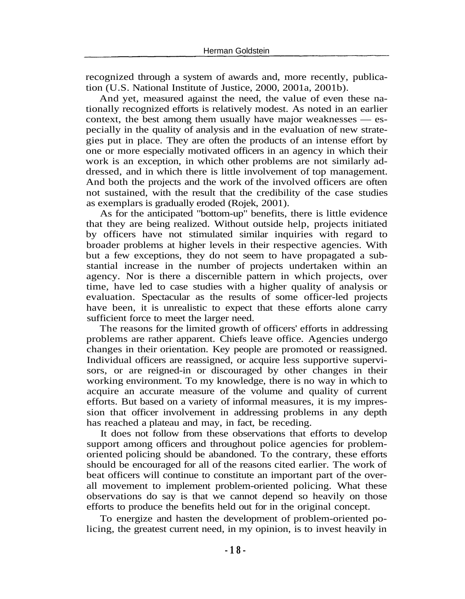recognized through a system of awards and, more recently, publication (U.S. National Institute of Justice, 2000, 2001a, 2001b).

And yet, measured against the need, the value of even these nationally recognized efforts is relatively modest. As noted in an earlier context, the best among them usually have major weaknesses — especially in the quality of analysis and in the evaluation of new strategies put in place. They are often the products of an intense effort by one or more especially motivated officers in an agency in which their work is an exception, in which other problems are not similarly addressed, and in which there is little involvement of top management. And both the projects and the work of the involved officers are often not sustained, with the result that the credibility of the case studies as exemplars is gradually eroded (Rojek, 2001).

As for the anticipated "bottom-up" benefits, there is little evidence that they are being realized. Without outside help, projects initiated by officers have not stimulated similar inquiries with regard to broader problems at higher levels in their respective agencies. With but a few exceptions, they do not seem to have propagated a substantial increase in the number of projects undertaken within an agency. Nor is there a discernible pattern in which projects, over time, have led to case studies with a higher quality of analysis or evaluation. Spectacular as the results of some officer-led projects have been, it is unrealistic to expect that these efforts alone carry sufficient force to meet the larger need.

The reasons for the limited growth of officers' efforts in addressing problems are rather apparent. Chiefs leave office. Agencies undergo changes in their orientation. Key people are promoted or reassigned. Individual officers are reassigned, or acquire less supportive supervisors, or are reigned-in or discouraged by other changes in their working environment. To my knowledge, there is no way in which to acquire an accurate measure of the volume and quality of current efforts. But based on a variety of informal measures, it is my impression that officer involvement in addressing problems in any depth has reached a plateau and may, in fact, be receding.

It does not follow from these observations that efforts to develop support among officers and throughout police agencies for problemoriented policing should be abandoned. To the contrary, these efforts should be encouraged for all of the reasons cited earlier. The work of beat officers will continue to constitute an important part of the overall movement to implement problem-oriented policing. What these observations do say is that we cannot depend so heavily on those efforts to produce the benefits held out for in the original concept.

To energize and hasten the development of problem-oriented policing, the greatest current need, in my opinion, is to invest heavily in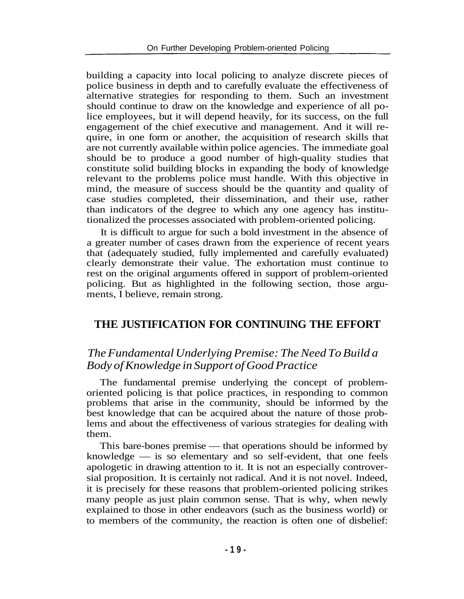building a capacity into local policing to analyze discrete pieces of police business in depth and to carefully evaluate the effectiveness of alternative strategies for responding to them. Such an investment should continue to draw on the knowledge and experience of all police employees, but it will depend heavily, for its success, on the full engagement of the chief executive and management. And it will require, in one form or another, the acquisition of research skills that are not currently available within police agencies. The immediate goal should be to produce a good number of high-quality studies that constitute solid building blocks in expanding the body of knowledge relevant to the problems police must handle. With this objective in mind, the measure of success should be the quantity and quality of case studies completed, their dissemination, and their use, rather than indicators of the degree to which any one agency has institutionalized the processes associated with problem-oriented policing.

It is difficult to argue for such a bold investment in the absence of a greater number of cases drawn from the experience of recent years that (adequately studied, fully implemented and carefully evaluated) clearly demonstrate their value. The exhortation must continue to rest on the original arguments offered in support of problem-oriented policing. But as highlighted in the following section, those arguments, I believe, remain strong.

#### **THE JUSTIFICATION FOR CONTINUING THE EFFORT**

#### *The Fundamental Underlying Premise: The Need To Build a Body of Knowledge in Support of Good Practice*

The fundamental premise underlying the concept of problemoriented policing is that police practices, in responding to common problems that arise in the community, should be informed by the best knowledge that can be acquired about the nature of those problems and about the effectiveness of various strategies for dealing with them.

This bare-bones premise — that operations should be informed by knowledge — is so elementary and so self-evident, that one feels apologetic in drawing attention to it. It is not an especially controversial proposition. It is certainly not radical. And it is not novel. Indeed, it is precisely for these reasons that problem-oriented policing strikes many people as just plain common sense. That is why, when newly explained to those in other endeavors (such as the business world) or to members of the community, the reaction is often one of disbelief: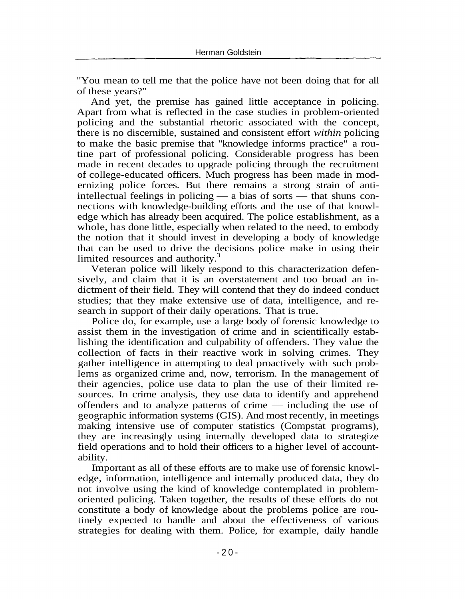"You mean to tell me that the police have not been doing that for all of these years?"

And yet, the premise has gained little acceptance in policing. Apart from what is reflected in the case studies in problem-oriented policing and the substantial rhetoric associated with the concept, there is no discernible, sustained and consistent effort *within* policing to make the basic premise that "knowledge informs practice" a routine part of professional policing. Considerable progress has been made in recent decades to upgrade policing through the recruitment of college-educated officers. Much progress has been made in modernizing police forces. But there remains a strong strain of antiintellectual feelings in policing — a bias of sorts — that shuns connections with knowledge-building efforts and the use of that knowledge which has already been acquired. The police establishment, as a whole, has done little, especially when related to the need, to embody the notion that it should invest in developing a body of knowledge that can be used to drive the decisions police make in using their limited resources and authority.<sup>3</sup>

Veteran police will likely respond to this characterization defensively, and claim that it is an overstatement and too broad an indictment of their field. They will contend that they do indeed conduct studies; that they make extensive use of data, intelligence, and research in support of their daily operations. That is true.

Police do, for example, use a large body of forensic knowledge to assist them in the investigation of crime and in scientifically establishing the identification and culpability of offenders. They value the collection of facts in their reactive work in solving crimes. They gather intelligence in attempting to deal proactively with such problems as organized crime and, now, terrorism. In the management of their agencies, police use data to plan the use of their limited resources. In crime analysis, they use data to identify and apprehend offenders and to analyze patterns of crime — including the use of geographic information systems (GIS). And most recently, in meetings making intensive use of computer statistics (Compstat programs), they are increasingly using internally developed data to strategize field operations and to hold their officers to a higher level of accountability.

Important as all of these efforts are to make use of forensic knowledge, information, intelligence and internally produced data, they do not involve using the kind of knowledge contemplated in problemoriented policing. Taken together, the results of these efforts do not constitute a body of knowledge about the problems police are routinely expected to handle and about the effectiveness of various strategies for dealing with them. Police, for example, daily handle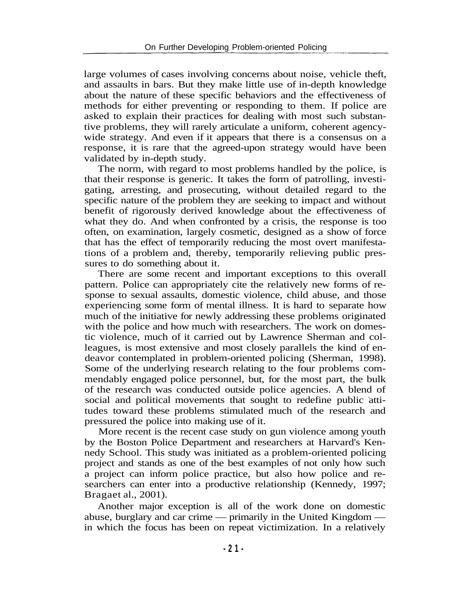large volumes of cases involving concerns about noise, vehicle theft, and assaults in bars. But they make little use of in-depth knowledge about the nature of these specific behaviors and the effectiveness of methods for either preventing or responding to them. If police are asked to explain their practices for dealing with most such substantive problems, they will rarely articulate a uniform, coherent agencywide strategy. And even if it appears that there is a consensus on a response, it is rare that the agreed-upon strategy would have been validated by in-depth study.

The norm, with regard to most problems handled by the police, is that their response is generic. It takes the form of patrolling, investigating, arresting, and prosecuting, without detailed regard to the specific nature of the problem they are seeking to impact and without benefit of rigorously derived knowledge about the effectiveness of what they do. And when confronted by a crisis, the response is too often, on examination, largely cosmetic, designed as a show of force that has the effect of temporarily reducing the most overt manifestations of a problem and, thereby, temporarily relieving public pressures to do something about it.

There are some recent and important exceptions to this overall pattern. Police can appropriately cite the relatively new forms of response to sexual assaults, domestic violence, child abuse, and those experiencing some form of mental illness. It is hard to separate how much of the initiative for newly addressing these problems originated with the police and how much with researchers. The work on domestic violence, much of it carried out by Lawrence Sherman and colleagues, is most extensive and most closely parallels the kind of endeavor contemplated in problem-oriented policing (Sherman, 1998). Some of the underlying research relating to the four problems commendably engaged police personnel, but, for the most part, the bulk of the research was conducted outside police agencies. A blend of social and political movements that sought to redefine public attitudes toward these problems stimulated much of the research and pressured the police into making use of it.

More recent is the recent case study on gun violence among youth by the Boston Police Department and researchers at Harvard's Kennedy School. This study was initiated as a problem-oriented policing project and stands as one of the best examples of not only how such a project can inform police practice, but also how police and researchers can enter into a productive relationship (Kennedy, 1997; Bragaet al., 2001).

Another major exception is all of the work done on domestic abuse, burglary and car crime — primarily in the United Kingdom in which the focus has been on repeat victimization. In a relatively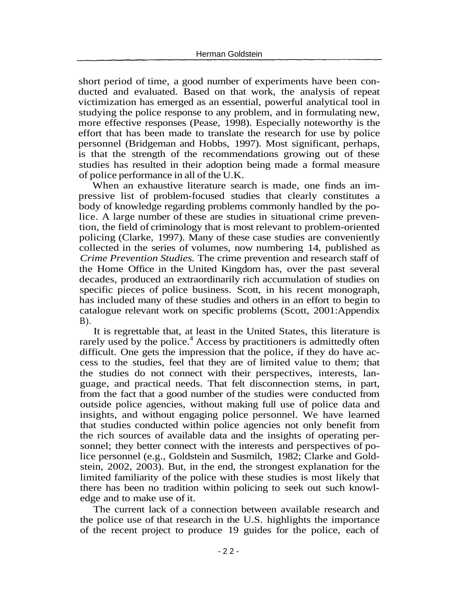short period of time, a good number of experiments have been conducted and evaluated. Based on that work, the analysis of repeat victimization has emerged as an essential, powerful analytical tool in studying the police response to any problem, and in formulating new, more effective responses (Pease, 1998). Especially noteworthy is the effort that has been made to translate the research for use by police personnel (Bridgeman and Hobbs, 1997). Most significant, perhaps, is that the strength of the recommendations growing out of these studies has resulted in their adoption being made a formal measure of police performance in all of the U.K.

When an exhaustive literature search is made, one finds an impressive list of problem-focused studies that clearly constitutes a body of knowledge regarding problems commonly handled by the police. A large number of these are studies in situational crime prevention, the field of criminology that is most relevant to problem-oriented policing (Clarke, 1997). Many of these case studies are conveniently collected in the series of volumes, now numbering 14, published as *Crime Prevention Studies.* The crime prevention and research staff of the Home Office in the United Kingdom has, over the past several decades, produced an extraordinarily rich accumulation of studies on specific pieces of police business. Scott, in his recent monograph, has included many of these studies and others in an effort to begin to catalogue relevant work on specific problems (Scott, 2001:Appendix  $B$ ).

It is regrettable that, at least in the United States, this literature is rarely used by the police.<sup>4</sup> Access by practitioners is admittedly often difficult. One gets the impression that the police, if they do have access to the studies, feel that they are of limited value to them; that the studies do not connect with their perspectives, interests, language, and practical needs. That felt disconnection stems, in part, from the fact that a good number of the studies were conducted from outside police agencies, without making full use of police data and insights, and without engaging police personnel. We have learned that studies conducted within police agencies not only benefit from the rich sources of available data and the insights of operating personnel; they better connect with the interests and perspectives of police personnel (e.g., Goldstein and Susmilch, 1982; Clarke and Goldstein, 2002, 2003). But, in the end, the strongest explanation for the limited familiarity of the police with these studies is most likely that there has been no tradition within policing to seek out such knowledge and to make use of it.

The current lack of a connection between available research and the police use of that research in the U.S. highlights the importance of the recent project to produce 19 guides for the police, each of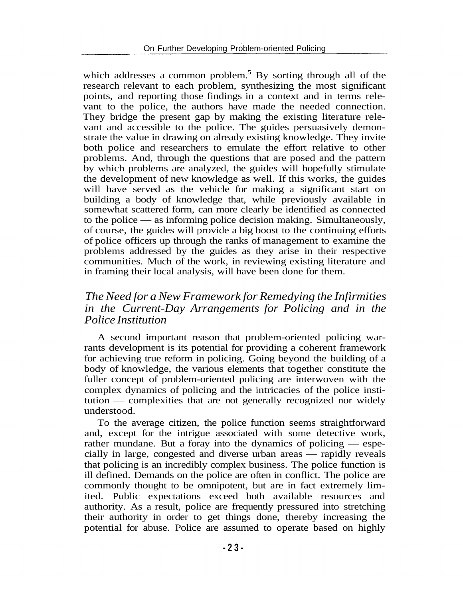which addresses a common problem.<sup>5</sup> By sorting through all of the research relevant to each problem, synthesizing the most significant points, and reporting those findings in a context and in terms relevant to the police, the authors have made the needed connection. They bridge the present gap by making the existing literature relevant and accessible to the police. The guides persuasively demonstrate the value in drawing on already existing knowledge. They invite both police and researchers to emulate the effort relative to other problems. And, through the questions that are posed and the pattern by which problems are analyzed, the guides will hopefully stimulate the development of new knowledge as well. If this works, the guides will have served as the vehicle for making a significant start on building a body of knowledge that, while previously available in somewhat scattered form, can more clearly be identified as connected to the police — as informing police decision making. Simultaneously, of course, the guides will provide a big boost to the continuing efforts of police officers up through the ranks of management to examine the problems addressed by the guides as they arise in their respective communities. Much of the work, in reviewing existing literature and in framing their local analysis, will have been done for them.

#### *The Need for a New Framework for Remedying the Infirmities in the Current-Day Arrangements for Policing and in the Police Institution*

A second important reason that problem-oriented policing warrants development is its potential for providing a coherent framework for achieving true reform in policing. Going beyond the building of a body of knowledge, the various elements that together constitute the fuller concept of problem-oriented policing are interwoven with the complex dynamics of policing and the intricacies of the police institution — complexities that are not generally recognized nor widely understood.

To the average citizen, the police function seems straightforward and, except for the intrigue associated with some detective work, rather mundane. But a foray into the dynamics of policing — especially in large, congested and diverse urban areas — rapidly reveals that policing is an incredibly complex business. The police function is ill defined. Demands on the police are often in conflict. The police are commonly thought to be omnipotent, but are in fact extremely limited. Public expectations exceed both available resources and authority. As a result, police are frequently pressured into stretching their authority in order to get things done, thereby increasing the potential for abuse. Police are assumed to operate based on highly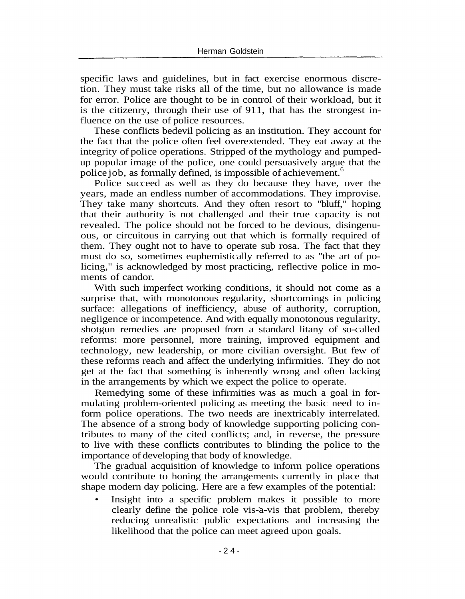specific laws and guidelines, but in fact exercise enormous discretion. They must take risks all of the time, but no allowance is made for error. Police are thought to be in control of their workload, but it is the citizenry, through their use of 911, that has the strongest influence on the use of police resources.

These conflicts bedevil policing as an institution. They account for the fact that the police often feel overextended. They eat away at the integrity of police operations. Stripped of the mythology and pumpedup popular image of the police, one could persuasively argue that the police job, as formally defined, is impossible of achievement.<sup>6</sup>

Police succeed as well as they do because they have, over the years, made an endless number of accommodations. They improvise. They take many shortcuts. And they often resort to "bluff," hoping that their authority is not challenged and their true capacity is not revealed. The police should not be forced to be devious, disingenuous, or circuitous in carrying out that which is formally required of them. They ought not to have to operate sub rosa. The fact that they must do so, sometimes euphemistically referred to as "the art of policing," is acknowledged by most practicing, reflective police in moments of candor.

With such imperfect working conditions, it should not come as a surprise that, with monotonous regularity, shortcomings in policing surface: allegations of inefficiency, abuse of authority, corruption, negligence or incompetence. And with equally monotonous regularity, shotgun remedies are proposed from a standard litany of so-called reforms: more personnel, more training, improved equipment and technology, new leadership, or more civilian oversight. But few of these reforms reach and affect the underlying infirmities. They do not get at the fact that something is inherently wrong and often lacking in the arrangements by which we expect the police to operate.

Remedying some of these infirmities was as much a goal in formulating problem-oriented policing as meeting the basic need to inform police operations. The two needs are inextricably interrelated. The absence of a strong body of knowledge supporting policing contributes to many of the cited conflicts; and, in reverse, the pressure to live with these conflicts contributes to blinding the police to the importance of developing that body of knowledge.

The gradual acquisition of knowledge to inform police operations would contribute to honing the arrangements currently in place that shape modern day policing. Here are a few examples of the potential:

• Insight into a specific problem makes it possible to more clearly define the police role vis-a-vis that problem, thereby reducing unrealistic public expectations and increasing the likelihood that the police can meet agreed upon goals.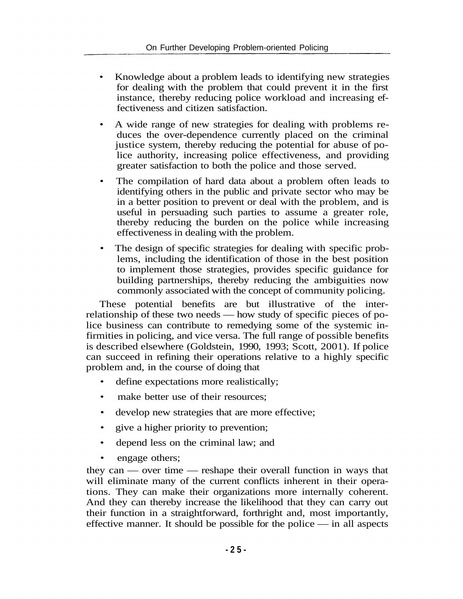- Knowledge about a problem leads to identifying new strategies for dealing with the problem that could prevent it in the first instance, thereby reducing police workload and increasing effectiveness and citizen satisfaction.
- A wide range of new strategies for dealing with problems reduces the over-dependence currently placed on the criminal justice system, thereby reducing the potential for abuse of police authority, increasing police effectiveness, and providing greater satisfaction to both the police and those served.
- The compilation of hard data about a problem often leads to identifying others in the public and private sector who may be in a better position to prevent or deal with the problem, and is useful in persuading such parties to assume a greater role, thereby reducing the burden on the police while increasing effectiveness in dealing with the problem.
- The design of specific strategies for dealing with specific problems, including the identification of those in the best position to implement those strategies, provides specific guidance for building partnerships, thereby reducing the ambiguities now commonly associated with the concept of community policing.

These potential benefits are but illustrative of the interrelationship of these two needs — how study of specific pieces of police business can contribute to remedying some of the systemic infirmities in policing, and vice versa. The full range of possible benefits is described elsewhere (Goldstein, 1990, 1993; Scott, 2001). If police can succeed in refining their operations relative to a highly specific problem and, in the course of doing that

- define expectations more realistically;
- make better use of their resources:
- develop new strategies that are more effective;
- give a higher priority to prevention;
- depend less on the criminal law; and
- engage others;

they can — over time — reshape their overall function in ways that will eliminate many of the current conflicts inherent in their operations. They can make their organizations more internally coherent. And they can thereby increase the likelihood that they can carry out their function in a straightforward, forthright and, most importantly, effective manner. It should be possible for the police — in all aspects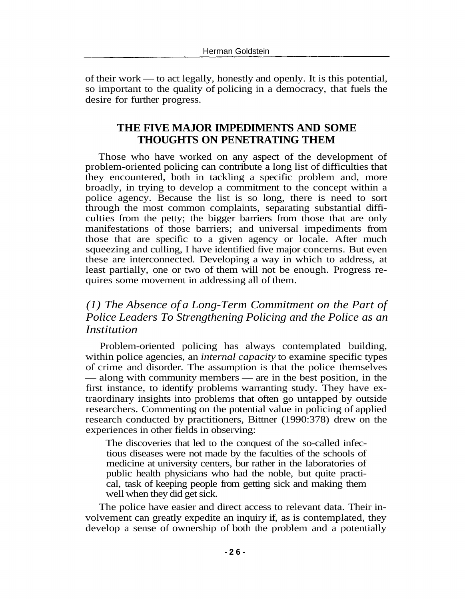of their work — to act legally, honestly and openly. It is this potential, so important to the quality of policing in a democracy, that fuels the desire for further progress.

# **THE FIVE MAJOR IMPEDIMENTS AND SOME THOUGHTS ON PENETRATING THEM**

Those who have worked on any aspect of the development of problem-oriented policing can contribute a long list of difficulties that they encountered, both in tackling a specific problem and, more broadly, in trying to develop a commitment to the concept within a police agency. Because the list is so long, there is need to sort through the most common complaints, separating substantial difficulties from the petty; the bigger barriers from those that are only manifestations of those barriers; and universal impediments from those that are specific to a given agency or locale. After much squeezing and culling, I have identified five major concerns. But even these are interconnected. Developing a way in which to address, at least partially, one or two of them will not be enough. Progress requires some movement in addressing all of them.

# *(1) The Absence of a Long-Term Commitment on the Part of Police Leaders To Strengthening Policing and the Police as an Institution*

Problem-oriented policing has always contemplated building, within police agencies, an *internal capacity* to examine specific types of crime and disorder. The assumption is that the police themselves — along with community members — are in the best position, in the first instance, to identify problems warranting study. They have extraordinary insights into problems that often go untapped by outside researchers. Commenting on the potential value in policing of applied research conducted by practitioners, Bittner (1990:378) drew on the experiences in other fields in observing:

The discoveries that led to the conquest of the so-called infectious diseases were not made by the faculties of the schools of medicine at university centers, bur rather in the laboratories of public health physicians who had the noble, but quite practical, task of keeping people from getting sick and making them well when they did get sick.

The police have easier and direct access to relevant data. Their involvement can greatly expedite an inquiry if, as is contemplated, they develop a sense of ownership of both the problem and a potentially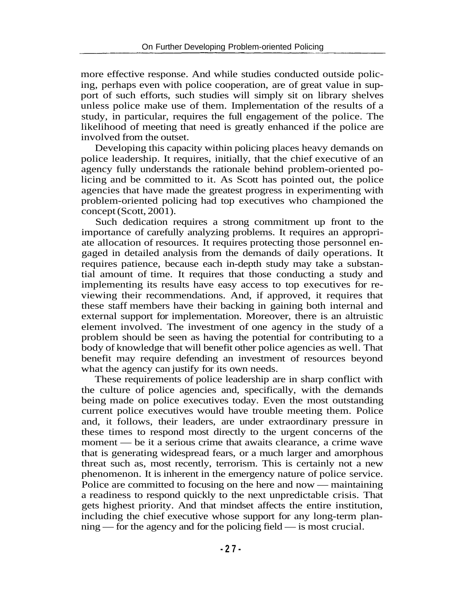more effective response. And while studies conducted outside policing, perhaps even with police cooperation, are of great value in support of such efforts, such studies will simply sit on library shelves unless police make use of them. Implementation of the results of a study, in particular, requires the full engagement of the police. The likelihood of meeting that need is greatly enhanced if the police are involved from the outset.

Developing this capacity within policing places heavy demands on police leadership. It requires, initially, that the chief executive of an agency fully understands the rationale behind problem-oriented policing and be committed to it. As Scott has pointed out, the police agencies that have made the greatest progress in experimenting with problem-oriented policing had top executives who championed the concept (Scott, 2001).

Such dedication requires a strong commitment up front to the importance of carefully analyzing problems. It requires an appropriate allocation of resources. It requires protecting those personnel engaged in detailed analysis from the demands of daily operations. It requires patience, because each in-depth study may take a substantial amount of time. It requires that those conducting a study and implementing its results have easy access to top executives for reviewing their recommendations. And, if approved, it requires that these staff members have their backing in gaining both internal and external support for implementation. Moreover, there is an altruistic element involved. The investment of one agency in the study of a problem should be seen as having the potential for contributing to a body of knowledge that will benefit other police agencies as well. That benefit may require defending an investment of resources beyond what the agency can justify for its own needs.

These requirements of police leadership are in sharp conflict with the culture of police agencies and, specifically, with the demands being made on police executives today. Even the most outstanding current police executives would have trouble meeting them. Police and, it follows, their leaders, are under extraordinary pressure in these times to respond most directly to the urgent concerns of the moment — be it a serious crime that awaits clearance, a crime wave that is generating widespread fears, or a much larger and amorphous threat such as, most recently, terrorism. This is certainly not a new phenomenon. It is inherent in the emergency nature of police service. Police are committed to focusing on the here and now — maintaining a readiness to respond quickly to the next unpredictable crisis. That gets highest priority. And that mindset affects the entire institution, including the chief executive whose support for any long-term planning — for the agency and for the policing field — is most crucial.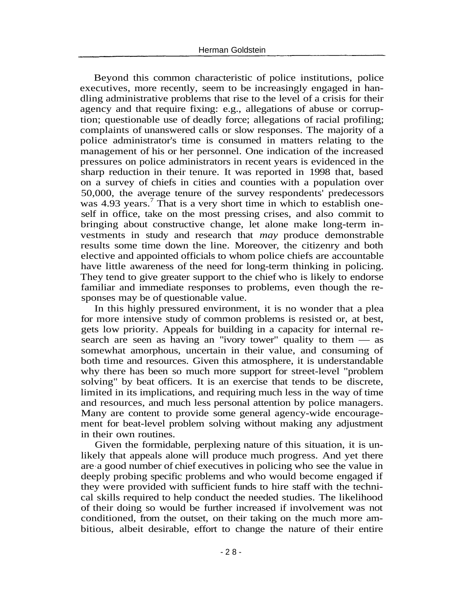Beyond this common characteristic of police institutions, police executives, more recently, seem to be increasingly engaged in handling administrative problems that rise to the level of a crisis for their agency and that require fixing: e.g., allegations of abuse or corruption; questionable use of deadly force; allegations of racial profiling; complaints of unanswered calls or slow responses. The majority of a police administrator's time is consumed in matters relating to the management of his or her personnel. One indication of the increased pressures on police administrators in recent years is evidenced in the sharp reduction in their tenure. It was reported in 1998 that, based on a survey of chiefs in cities and counties with a population over 50,000, the average tenure of the survey respondents' predecessors was  $4.93$  years.<sup>7</sup> That is a very short time in which to establish oneself in office, take on the most pressing crises, and also commit to bringing about constructive change, let alone make long-term investments in study and research that *may* produce demonstrable results some time down the line. Moreover, the citizenry and both elective and appointed officials to whom police chiefs are accountable have little awareness of the need for long-term thinking in policing. They tend to give greater support to the chief who is likely to endorse familiar and immediate responses to problems, even though the responses may be of questionable value.

In this highly pressured environment, it is no wonder that a plea for more intensive study of common problems is resisted or, at best, gets low priority. Appeals for building in a capacity for internal research are seen as having an "ivory tower" quality to them — as somewhat amorphous, uncertain in their value, and consuming of both time and resources. Given this atmosphere, it is understandable why there has been so much more support for street-level "problem solving" by beat officers. It is an exercise that tends to be discrete, limited in its implications, and requiring much less in the way of time and resources, and much less personal attention by police managers. Many are content to provide some general agency-wide encouragement for beat-level problem solving without making any adjustment in their own routines.

Given the formidable, perplexing nature of this situation, it is unlikely that appeals alone will produce much progress. And yet there are a good number of chief executives in policing who see the value in deeply probing specific problems and who would become engaged if they were provided with sufficient funds to hire staff with the technical skills required to help conduct the needed studies. The likelihood of their doing so would be further increased if involvement was not conditioned, from the outset, on their taking on the much more ambitious, albeit desirable, effort to change the nature of their entire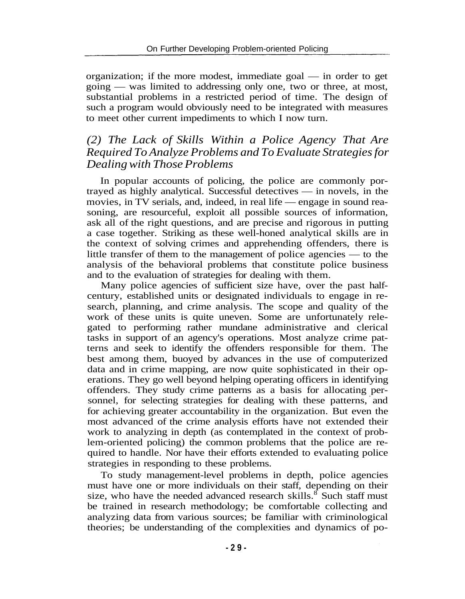organization; if the more modest, immediate goal — in order to get going — was limited to addressing only one, two or three, at most, substantial problems in a restricted period of time. The design of such a program would obviously need to be integrated with measures to meet other current impediments to which I now turn.

# *(2) The Lack of Skills Within a Police Agency That Are Required To Analyze Problems and To Evaluate Strategies for Dealing with Those Problems*

In popular accounts of policing, the police are commonly portrayed as highly analytical. Successful detectives — in novels, in the movies, in TV serials, and, indeed, in real life — engage in sound reasoning, are resourceful, exploit all possible sources of information, ask all of the right questions, and are precise and rigorous in putting a case together. Striking as these well-honed analytical skills are in the context of solving crimes and apprehending offenders, there is little transfer of them to the management of police agencies — to the analysis of the behavioral problems that constitute police business and to the evaluation of strategies for dealing with them.

Many police agencies of sufficient size have, over the past halfcentury, established units or designated individuals to engage in research, planning, and crime analysis. The scope and quality of the work of these units is quite uneven. Some are unfortunately relegated to performing rather mundane administrative and clerical tasks in support of an agency's operations. Most analyze crime patterns and seek to identify the offenders responsible for them. The best among them, buoyed by advances in the use of computerized data and in crime mapping, are now quite sophisticated in their operations. They go well beyond helping operating officers in identifying offenders. They study crime patterns as a basis for allocating personnel, for selecting strategies for dealing with these patterns, and for achieving greater accountability in the organization. But even the most advanced of the crime analysis efforts have not extended their work to analyzing in depth (as contemplated in the context of problem-oriented policing) the common problems that the police are required to handle. Nor have their efforts extended to evaluating police strategies in responding to these problems.

To study management-level problems in depth, police agencies must have one or more individuals on their staff, depending on their size, who have the needed advanced research skills.<sup>8</sup> Such staff must be trained in research methodology; be comfortable collecting and analyzing data from various sources; be familiar with criminological theories; be understanding of the complexities and dynamics of po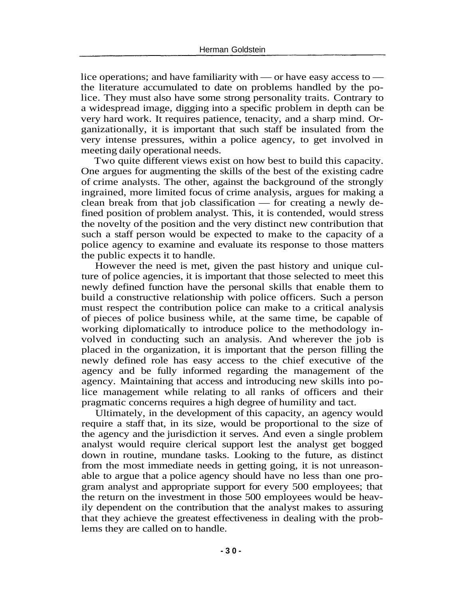lice operations; and have familiarity with — or have easy access to the literature accumulated to date on problems handled by the police. They must also have some strong personality traits. Contrary to a widespread image, digging into a specific problem in depth can be very hard work. It requires patience, tenacity, and a sharp mind. Organizationally, it is important that such staff be insulated from the very intense pressures, within a police agency, to get involved in meeting daily operational needs.

Two quite different views exist on how best to build this capacity. One argues for augmenting the skills of the best of the existing cadre of crime analysts. The other, against the background of the strongly ingrained, more limited focus of crime analysis, argues for making a clean break from that job classification — for creating a newly defined position of problem analyst. This, it is contended, would stress the novelty of the position and the very distinct new contribution that such a staff person would be expected to make to the capacity of a police agency to examine and evaluate its response to those matters the public expects it to handle.

However the need is met, given the past history and unique culture of police agencies, it is important that those selected to meet this newly defined function have the personal skills that enable them to build a constructive relationship with police officers. Such a person must respect the contribution police can make to a critical analysis of pieces of police business while, at the same time, be capable of working diplomatically to introduce police to the methodology involved in conducting such an analysis. And wherever the job is placed in the organization, it is important that the person filling the newly defined role has easy access to the chief executive of the agency and be fully informed regarding the management of the agency. Maintaining that access and introducing new skills into police management while relating to all ranks of officers and their pragmatic concerns requires a high degree of humility and tact.

Ultimately, in the development of this capacity, an agency would require a staff that, in its size, would be proportional to the size of the agency and the jurisdiction it serves. And even a single problem analyst would require clerical support lest the analyst get bogged down in routine, mundane tasks. Looking to the future, as distinct from the most immediate needs in getting going, it is not unreasonable to argue that a police agency should have no less than one program analyst and appropriate support for every 500 employees; that the return on the investment in those 500 employees would be heavily dependent on the contribution that the analyst makes to assuring that they achieve the greatest effectiveness in dealing with the problems they are called on to handle.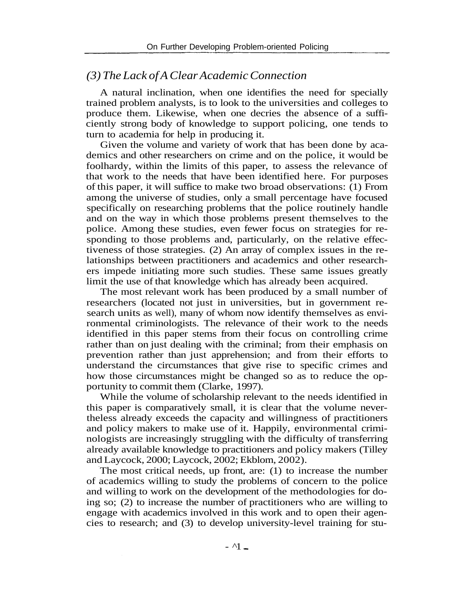# *(3) The Lack of A Clear Academic Connection*

A natural inclination, when one identifies the need for specially trained problem analysts, is to look to the universities and colleges to produce them. Likewise, when one decries the absence of a sufficiently strong body of knowledge to support policing, one tends to turn to academia for help in producing it.

Given the volume and variety of work that has been done by academics and other researchers on crime and on the police, it would be foolhardy, within the limits of this paper, to assess the relevance of that work to the needs that have been identified here. For purposes of this paper, it will suffice to make two broad observations: (1) From among the universe of studies, only a small percentage have focused specifically on researching problems that the police routinely handle and on the way in which those problems present themselves to the police. Among these studies, even fewer focus on strategies for responding to those problems and, particularly, on the relative effectiveness of those strategies. (2) An array of complex issues in the relationships between practitioners and academics and other researchers impede initiating more such studies. These same issues greatly limit the use of that knowledge which has already been acquired.

The most relevant work has been produced by a small number of researchers (located not just in universities, but in government research units as well), many of whom now identify themselves as environmental criminologists. The relevance of their work to the needs identified in this paper stems from their focus on controlling crime rather than on just dealing with the criminal; from their emphasis on prevention rather than just apprehension; and from their efforts to understand the circumstances that give rise to specific crimes and how those circumstances might be changed so as to reduce the opportunity to commit them (Clarke, 1997).

While the volume of scholarship relevant to the needs identified in this paper is comparatively small, it is clear that the volume nevertheless already exceeds the capacity and willingness of practitioners and policy makers to make use of it. Happily, environmental criminologists are increasingly struggling with the difficulty of transferring already available knowledge to practitioners and policy makers (Tilley and Laycock, 2000; Laycock, 2002; Ekblom, 2002).

The most critical needs, up front, are: (1) to increase the number of academics willing to study the problems of concern to the police and willing to work on the development of the methodologies for doing so; (2) to increase the number of practitioners who are willing to engage with academics involved in this work and to open their agencies to research; and (3) to develop university-level training for stu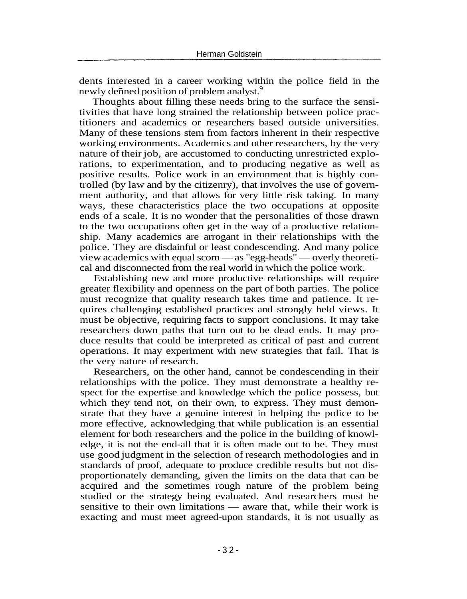dents interested in a career working within the police field in the newly defined position of problem analyst.<sup>9</sup>

Thoughts about filling these needs bring to the surface the sensitivities that have long strained the relationship between police practitioners and academics or researchers based outside universities. Many of these tensions stem from factors inherent in their respective working environments. Academics and other researchers, by the very nature of their job, are accustomed to conducting unrestricted explorations, to experimentation, and to producing negative as well as positive results. Police work in an environment that is highly controlled (by law and by the citizenry), that involves the use of government authority, and that allows for very little risk taking. In many ways, these characteristics place the two occupations at opposite ends of a scale. It is no wonder that the personalities of those drawn to the two occupations often get in the way of a productive relationship. Many academics are arrogant in their relationships with the police. They are disdainful or least condescending. And many police view academics with equal scorn — as "egg-heads" — overly theoretical and disconnected from the real world in which the police work.

Establishing new and more productive relationships will require greater flexibility and openness on the part of both parties. The police must recognize that quality research takes time and patience. It requires challenging established practices and strongly held views. It must be objective, requiring facts to support conclusions. It may take researchers down paths that turn out to be dead ends. It may produce results that could be interpreted as critical of past and current operations. It may experiment with new strategies that fail. That is the very nature of research.

Researchers, on the other hand, cannot be condescending in their relationships with the police. They must demonstrate a healthy respect for the expertise and knowledge which the police possess, but which they tend not, on their own, to express. They must demonstrate that they have a genuine interest in helping the police to be more effective, acknowledging that while publication is an essential element for both researchers and the police in the building of knowledge, it is not the end-all that it is often made out to be. They must use good judgment in the selection of research methodologies and in standards of proof, adequate to produce credible results but not disproportionately demanding, given the limits on the data that can be acquired and the sometimes rough nature of the problem being studied or the strategy being evaluated. And researchers must be sensitive to their own limitations — aware that, while their work is exacting and must meet agreed-upon standards, it is not usually as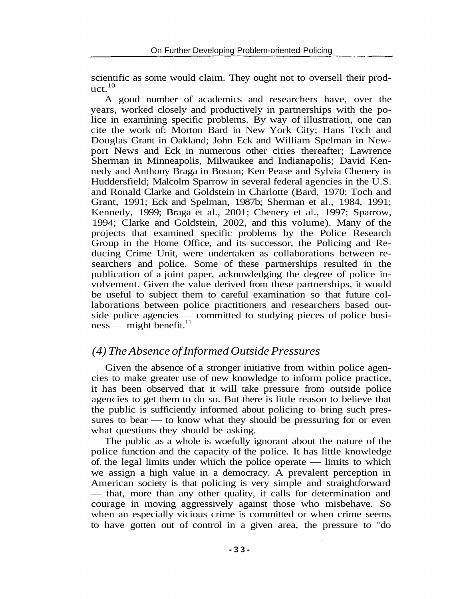scientific as some would claim. They ought not to oversell their prod $uct.<sup>10</sup>$ 

A good number of academics and researchers have, over the years, worked closely and productively in partnerships with the police in examining specific problems. By way of illustration, one can cite the work of: Morton Bard in New York City; Hans Toch and Douglas Grant in Oakland; John Eck and William Spelman in Newport News and Eck in numerous other cities thereafter; Lawrence Sherman in Minneapolis, Milwaukee and Indianapolis; David Kennedy and Anthony Braga in Boston; Ken Pease and Sylvia Chenery in Huddersfield; Malcolm Sparrow in several federal agencies in the U.S. and Ronald Clarke and Goldstein in Charlotte (Bard, 1970; Toch and Grant, 1991; Eck and Spelman, 1987b; Sherman et al., 1984, 1991; Kennedy, 1999; Braga et al., 2001; Chenery et al., 1997; Sparrow, 1994; Clarke and Goldstein, 2002, and this volume). Many of the projects that examined specific problems by the Police Research Group in the Home Office, and its successor, the Policing and Reducing Crime Unit, were undertaken as collaborations between researchers and police. Some of these partnerships resulted in the publication of a joint paper, acknowledging the degree of police involvement. Given the value derived from these partnerships, it would be useful to subject them to careful examination so that future collaborations between police practitioners and researchers based outside police agencies — committed to studying pieces of police busi $ness$ — might benefit.<sup>11</sup>

# *(4) The Absence of Informed Outside Pressures*

Given the absence of a stronger initiative from within police agencies to make greater use of new knowledge to inform police practice, it has been observed that it will take pressure from outside police agencies to get them to do so. But there is little reason to believe that the public is sufficiently informed about policing to bring such pressures to bear — to know what they should be pressuring for or even what questions they should be asking.

The public as a whole is woefully ignorant about the nature of the police function and the capacity of the police. It has little knowledge of. the legal limits under which the police operate — limits to which we assign a high value in a democracy. A prevalent perception in American society is that policing is very simple and straightforward — that, more than any other quality, it calls for determination and courage in moving aggressively against those who misbehave. So when an especially vicious crime is committed or when crime seems to have gotten out of control in a given area, the pressure to "do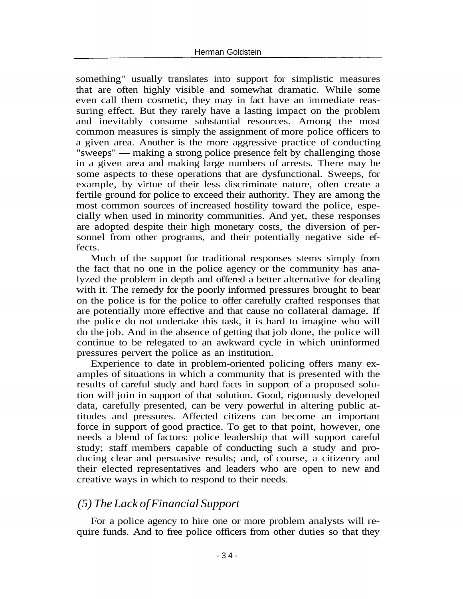something" usually translates into support for simplistic measures that are often highly visible and somewhat dramatic. While some even call them cosmetic, they may in fact have an immediate reassuring effect. But they rarely have a lasting impact on the problem and inevitably consume substantial resources. Among the most common measures is simply the assignment of more police officers to a given area. Another is the more aggressive practice of conducting "sweeps" — making a strong police presence felt by challenging those in a given area and making large numbers of arrests. There may be some aspects to these operations that are dysfunctional. Sweeps, for example, by virtue of their less discriminate nature, often create a fertile ground for police to exceed their authority. They are among the most common sources of increased hostility toward the police, especially when used in minority communities. And yet, these responses are adopted despite their high monetary costs, the diversion of personnel from other programs, and their potentially negative side effects.

Much of the support for traditional responses stems simply from the fact that no one in the police agency or the community has analyzed the problem in depth and offered a better alternative for dealing with it. The remedy for the poorly informed pressures brought to bear on the police is for the police to offer carefully crafted responses that are potentially more effective and that cause no collateral damage. If the police do not undertake this task, it is hard to imagine who will do the job. And in the absence of getting that job done, the police will continue to be relegated to an awkward cycle in which uninformed pressures pervert the police as an institution.

Experience to date in problem-oriented policing offers many examples of situations in which a community that is presented with the results of careful study and hard facts in support of a proposed solution will join in support of that solution. Good, rigorously developed data, carefully presented, can be very powerful in altering public attitudes and pressures. Affected citizens can become an important force in support of good practice. To get to that point, however, one needs a blend of factors: police leadership that will support careful study; staff members capable of conducting such a study and producing clear and persuasive results; and, of course, a citizenry and their elected representatives and leaders who are open to new and creative ways in which to respond to their needs.

#### *(5) The Lack of Financial Support*

For a police agency to hire one or more problem analysts will require funds. And to free police officers from other duties so that they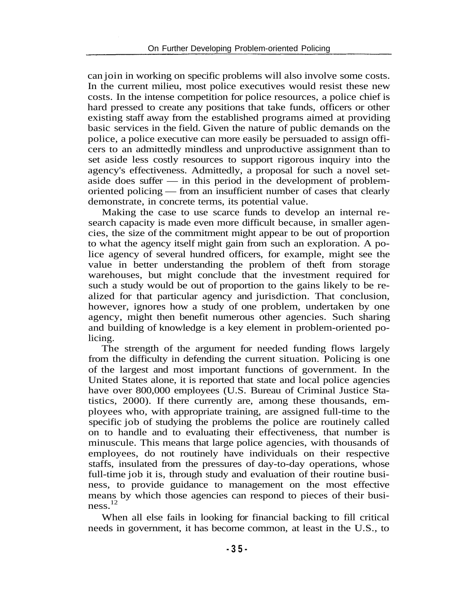can join in working on specific problems will also involve some costs. In the current milieu, most police executives would resist these new costs. In the intense competition for police resources, a police chief is hard pressed to create any positions that take funds, officers or other existing staff away from the established programs aimed at providing basic services in the field. Given the nature of public demands on the police, a police executive can more easily be persuaded to assign officers to an admittedly mindless and unproductive assignment than to set aside less costly resources to support rigorous inquiry into the agency's effectiveness. Admittedly, a proposal for such a novel setaside does suffer — in this period in the development of problemoriented policing — from an insufficient number of cases that clearly demonstrate, in concrete terms, its potential value.

Making the case to use scarce funds to develop an internal research capacity is made even more difficult because, in smaller agencies, the size of the commitment might appear to be out of proportion to what the agency itself might gain from such an exploration. A police agency of several hundred officers, for example, might see the value in better understanding the problem of theft from storage warehouses, but might conclude that the investment required for such a study would be out of proportion to the gains likely to be realized for that particular agency and jurisdiction. That conclusion, however, ignores how a study of one problem, undertaken by one agency, might then benefit numerous other agencies. Such sharing and building of knowledge is a key element in problem-oriented policing.

The strength of the argument for needed funding flows largely from the difficulty in defending the current situation. Policing is one of the largest and most important functions of government. In the United States alone, it is reported that state and local police agencies have over 800,000 employees (U.S. Bureau of Criminal Justice Statistics, 2000). If there currently are, among these thousands, employees who, with appropriate training, are assigned full-time to the specific job of studying the problems the police are routinely called on to handle and to evaluating their effectiveness, that number is minuscule. This means that large police agencies, with thousands of employees, do not routinely have individuals on their respective staffs, insulated from the pressures of day-to-day operations, whose full-time job it is, through study and evaluation of their routine business, to provide guidance to management on the most effective means by which those agencies can respond to pieces of their business.<sup>12</sup>

When all else fails in looking for financial backing to fill critical needs in government, it has become common, at least in the U.S., to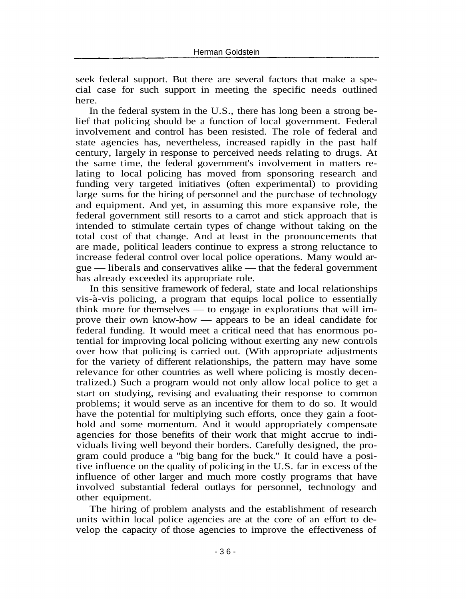seek federal support. But there are several factors that make a special case for such support in meeting the specific needs outlined here.

In the federal system in the U.S., there has long been a strong belief that policing should be a function of local government. Federal involvement and control has been resisted. The role of federal and state agencies has, nevertheless, increased rapidly in the past half century, largely in response to perceived needs relating to drugs. At the same time, the federal government's involvement in matters relating to local policing has moved from sponsoring research and funding very targeted initiatives (often experimental) to providing large sums for the hiring of personnel and the purchase of technology and equipment. And yet, in assuming this more expansive role, the federal government still resorts to a carrot and stick approach that is intended to stimulate certain types of change without taking on the total cost of that change. And at least in the pronouncements that are made, political leaders continue to express a strong reluctance to increase federal control over local police operations. Many would argue — liberals and conservatives alike — that the federal government has already exceeded its appropriate role.

In this sensitive framework of federal, state and local relationships vis-a-vis policing, a program that equips local police to essentially think more for themselves — to engage in explorations that will improve their own know-how — appears to be an ideal candidate for federal funding. It would meet a critical need that has enormous potential for improving local policing without exerting any new controls over how that policing is carried out. (With appropriate adjustments for the variety of different relationships, the pattern may have some relevance for other countries as well where policing is mostly decentralized.) Such a program would not only allow local police to get a start on studying, revising and evaluating their response to common problems; it would serve as an incentive for them to do so. It would have the potential for multiplying such efforts, once they gain a foothold and some momentum. And it would appropriately compensate agencies for those benefits of their work that might accrue to individuals living well beyond their borders. Carefully designed, the program could produce a "big bang for the buck." It could have a positive influence on the quality of policing in the U.S. far in excess of the influence of other larger and much more costly programs that have involved substantial federal outlays for personnel, technology and other equipment.

The hiring of problem analysts and the establishment of research units within local police agencies are at the core of an effort to develop the capacity of those agencies to improve the effectiveness of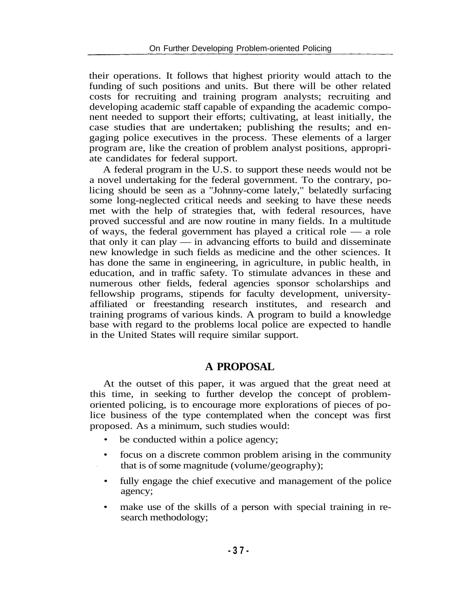their operations. It follows that highest priority would attach to the funding of such positions and units. But there will be other related costs for recruiting and training program analysts; recruiting and developing academic staff capable of expanding the academic component needed to support their efforts; cultivating, at least initially, the case studies that are undertaken; publishing the results; and engaging police executives in the process. These elements of a larger program are, like the creation of problem analyst positions, appropriate candidates for federal support.

A federal program in the U.S. to support these needs would not be a novel undertaking for the federal government. To the contrary, policing should be seen as a "Johnny-come lately," belatedly surfacing some long-neglected critical needs and seeking to have these needs met with the help of strategies that, with federal resources, have proved successful and are now routine in many fields. In a multitude of ways, the federal government has played a critical role — a role that only it can play — in advancing efforts to build and disseminate new knowledge in such fields as medicine and the other sciences. It has done the same in engineering, in agriculture, in public health, in education, and in traffic safety. To stimulate advances in these and numerous other fields, federal agencies sponsor scholarships and fellowship programs, stipends for faculty development, universityaffiliated or freestanding research institutes, and research and training programs of various kinds. A program to build a knowledge base with regard to the problems local police are expected to handle in the United States will require similar support.

#### **A PROPOSAL**

At the outset of this paper, it was argued that the great need at this time, in seeking to further develop the concept of problemoriented policing, is to encourage more explorations of pieces of police business of the type contemplated when the concept was first proposed. As a minimum, such studies would:

- be conducted within a police agency;
- focus on a discrete common problem arising in the community that is of some magnitude (volume/geography);
- fully engage the chief executive and management of the police agency;
- make use of the skills of a person with special training in research methodology;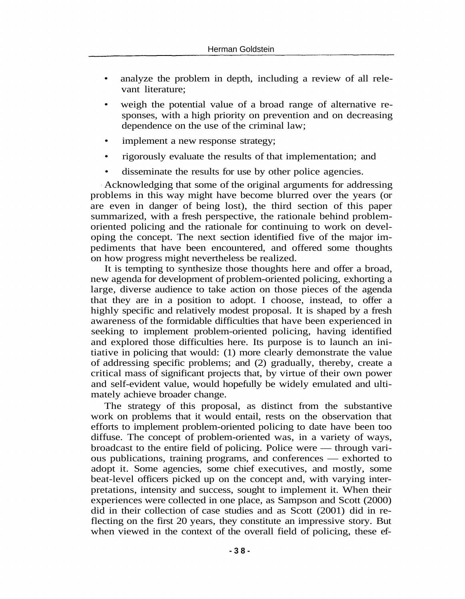- analyze the problem in depth, including a review of all relevant literature;
- weigh the potential value of a broad range of alternative responses, with a high priority on prevention and on decreasing dependence on the use of the criminal law;
- implement a new response strategy;
- rigorously evaluate the results of that implementation; and
- disseminate the results for use by other police agencies.

Acknowledging that some of the original arguments for addressing problems in this way might have become blurred over the years (or are even in danger of being lost), the third section of this paper summarized, with a fresh perspective, the rationale behind problemoriented policing and the rationale for continuing to work on developing the concept. The next section identified five of the major impediments that have been encountered, and offered some thoughts on how progress might nevertheless be realized.

It is tempting to synthesize those thoughts here and offer a broad, new agenda for development of problem-oriented policing, exhorting a large, diverse audience to take action on those pieces of the agenda that they are in a position to adopt. I choose, instead, to offer a highly specific and relatively modest proposal. It is shaped by a fresh awareness of the formidable difficulties that have been experienced in seeking to implement problem-oriented policing, having identified and explored those difficulties here. Its purpose is to launch an initiative in policing that would: (1) more clearly demonstrate the value of addressing specific problems; and (2) gradually, thereby, create a critical mass of significant projects that, by virtue of their own power and self-evident value, would hopefully be widely emulated and ultimately achieve broader change.

The strategy of this proposal, as distinct from the substantive work on problems that it would entail, rests on the observation that efforts to implement problem-oriented policing to date have been too diffuse. The concept of problem-oriented was, in a variety of ways, broadcast to the entire field of policing. Police were — through various publications, training programs, and conferences — exhorted to adopt it. Some agencies, some chief executives, and mostly, some beat-level officers picked up on the concept and, with varying interpretations, intensity and success, sought to implement it. When their experiences were collected in one place, as Sampson and Scott (2000) did in their collection of case studies and as Scott (2001) did in reflecting on the first 20 years, they constitute an impressive story. But when viewed in the context of the overall field of policing, these ef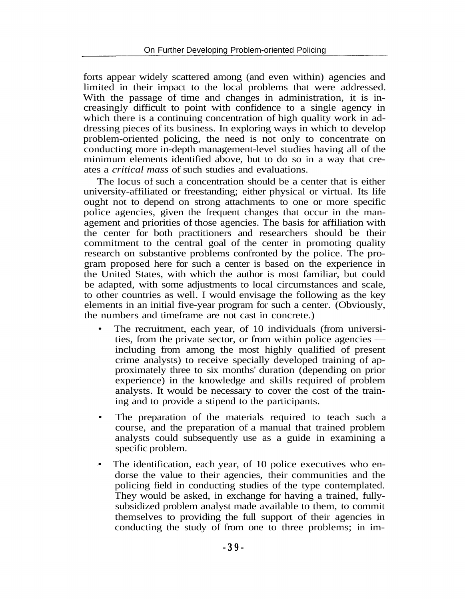forts appear widely scattered among (and even within) agencies and limited in their impact to the local problems that were addressed. With the passage of time and changes in administration, it is increasingly difficult to point with confidence to a single agency in which there is a continuing concentration of high quality work in addressing pieces of its business. In exploring ways in which to develop problem-oriented policing, the need is not only to concentrate on conducting more in-depth management-level studies having all of the minimum elements identified above, but to do so in a way that creates a *critical mass* of such studies and evaluations.

The locus of such a concentration should be a center that is either university-affiliated or freestanding; either physical or virtual. Its life ought not to depend on strong attachments to one or more specific police agencies, given the frequent changes that occur in the management and priorities of those agencies. The basis for affiliation with the center for both practitioners and researchers should be their commitment to the central goal of the center in promoting quality research on substantive problems confronted by the police. The program proposed here for such a center is based on the experience in the United States, with which the author is most familiar, but could be adapted, with some adjustments to local circumstances and scale, to other countries as well. I would envisage the following as the key elements in an initial five-year program for such a center. (Obviously, the numbers and timeframe are not cast in concrete.)

- The recruitment, each year, of 10 individuals (from universities, from the private sector, or from within police agencies including from among the most highly qualified of present crime analysts) to receive specially developed training of approximately three to six months' duration (depending on prior experience) in the knowledge and skills required of problem analysts. It would be necessary to cover the cost of the training and to provide a stipend to the participants.
- The preparation of the materials required to teach such a course, and the preparation of a manual that trained problem analysts could subsequently use as a guide in examining a specific problem.
- The identification, each year, of 10 police executives who endorse the value to their agencies, their communities and the policing field in conducting studies of the type contemplated. They would be asked, in exchange for having a trained, fullysubsidized problem analyst made available to them, to commit themselves to providing the full support of their agencies in conducting the study of from one to three problems; in im-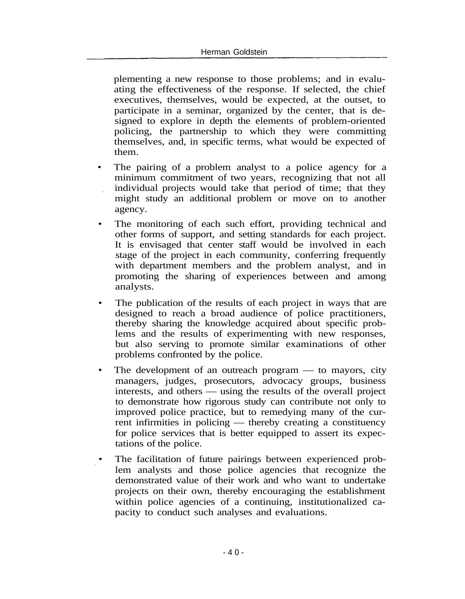plementing a new response to those problems; and in evaluating the effectiveness of the response. If selected, the chief executives, themselves, would be expected, at the outset, to participate in a seminar, organized by the center, that is designed to explore in depth the elements of problem-oriented policing, the partnership to which they were committing themselves, and, in specific terms, what would be expected of them.

- The pairing of a problem analyst to a police agency for a minimum commitment of two years, recognizing that not all individual projects would take that period of time; that they might study an additional problem or move on to another agency.
- The monitoring of each such effort, providing technical and other forms of support, and setting standards for each project. It is envisaged that center staff would be involved in each stage of the project in each community, conferring frequently with department members and the problem analyst, and in promoting the sharing of experiences between and among analysts.
- The publication of the results of each project in ways that are designed to reach a broad audience of police practitioners, thereby sharing the knowledge acquired about specific problems and the results of experimenting with new responses, but also serving to promote similar examinations of other problems confronted by the police.
- The development of an outreach program  $-$  to mayors, city managers, judges, prosecutors, advocacy groups, business interests, and others — using the results of the overall project to demonstrate how rigorous study can contribute not only to improved police practice, but to remedying many of the current infirmities in policing — thereby creating a constituency for police services that is better equipped to assert its expectations of the police.
- The facilitation of future pairings between experienced problem analysts and those police agencies that recognize the demonstrated value of their work and who want to undertake projects on their own, thereby encouraging the establishment within police agencies of a continuing, institutionalized capacity to conduct such analyses and evaluations.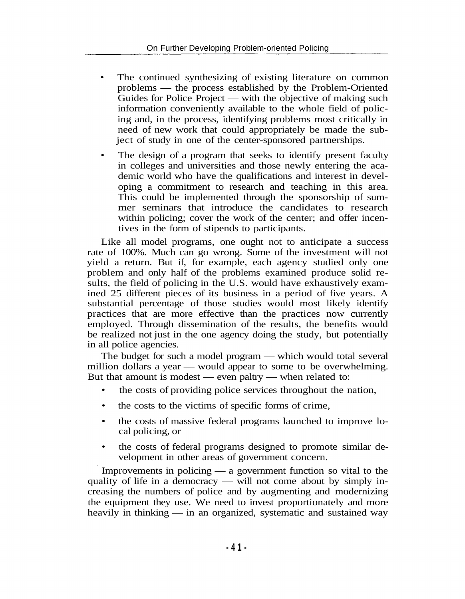- The continued synthesizing of existing literature on common problems — the process established by the Problem-Oriented Guides for Police Project — with the objective of making such information conveniently available to the whole field of policing and, in the process, identifying problems most critically in need of new work that could appropriately be made the subject of study in one of the center-sponsored partnerships.
- The design of a program that seeks to identify present faculty in colleges and universities and those newly entering the academic world who have the qualifications and interest in developing a commitment to research and teaching in this area. This could be implemented through the sponsorship of summer seminars that introduce the candidates to research within policing; cover the work of the center; and offer incentives in the form of stipends to participants.

Like all model programs, one ought not to anticipate a success rate of 100%. Much can go wrong. Some of the investment will not yield a return. But if, for example, each agency studied only one problem and only half of the problems examined produce solid results, the field of policing in the U.S. would have exhaustively examined 25 different pieces of its business in a period of five years. A substantial percentage of those studies would most likely identify practices that are more effective than the practices now currently employed. Through dissemination of the results, the benefits would be realized not just in the one agency doing the study, but potentially in all police agencies.

The budget for such a model program — which would total several million dollars a year — would appear to some to be overwhelming. But that amount is modest — even paltry — when related to:

- the costs of providing police services throughout the nation,
- the costs to the victims of specific forms of crime,
- the costs of massive federal programs launched to improve local policing, or
- the costs of federal programs designed to promote similar development in other areas of government concern.

Improvements in policing — a government function so vital to the quality of life in a democracy — will not come about by simply increasing the numbers of police and by augmenting and modernizing the equipment they use. We need to invest proportionately and more heavily in thinking — in an organized, systematic and sustained way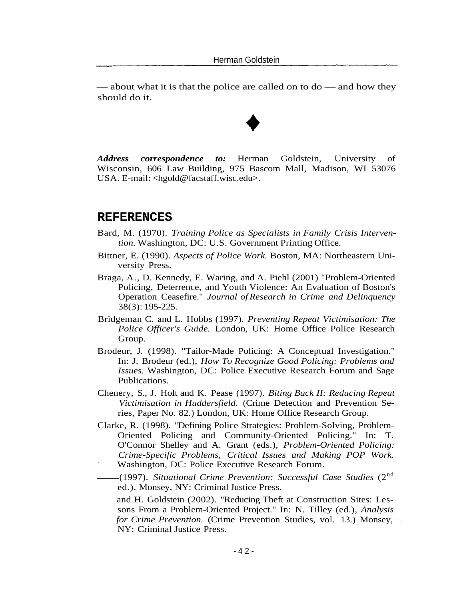— about what it is that the police are called on to do — and how they should do it.

*Address correspondence to:* Herman Goldstein, University of Wisconsin, 606 Law Building, 975 Bascom Mall, Madison, WI 53076 USA. E-mail: <hgold@facstaff.wisc.edu>.

#### **REFERENCES**

- Bard, M. (1970). *Training Police as Specialists in Family Crisis Intervention.* Washington, DC: U.S. Government Printing Office.
- Bittner, E. (1990). *Aspects of Police Work.* Boston, MA: Northeastern University Press.
- Braga, A., D. Kennedy, E. Waring, and A. Piehl (2001) "Problem-Oriented Policing, Deterrence, and Youth Violence: An Evaluation of Boston's Operation Ceasefire." *Journal of Research in Crime and Delinquency* 38(3): 195-225.
- Bridgeman C. and L. Hobbs (1997). *Preventing Repeat Victimisation: The Police Officer's Guide.* London, UK: Home Office Police Research Group.
- Brodeur, J. (1998). "Tailor-Made Policing: A Conceptual Investigation." In: J. Brodeur (ed.), *How To Recognize Good Policing: Problems and Issues.* Washington, DC: Police Executive Research Forum and Sage Publications.
- Chenery, S., J. Holt and K. Pease (1997). *Biting Back II: Reducing Repeat Victimisation in Huddersfield.* (Crime Detection and Prevention Series, Paper No. 82.) London, UK: Home Office Research Group.
- Clarke, R. (1998). "Defining Police Strategies: Problem-Solving, Problem-Oriented Policing and Community-Oriented Policing." In: T. O'Connor Shelley and A. Grant (eds.), *Problem-Oriented Policing: Crime-Specific Problems, Critical Issues and Making POP Work.* Washington, DC: Police Executive Research Forum.
- (1997). *Situational Crime Prevention: Successful Case Studies* (2nd ed.). Monsey, NY: Criminal Justice Press.
- and H. Goldstein (2002). "Reducing Theft at Construction Sites: Lessons From a Problem-Oriented Project." In: N. Tilley (ed.), *Analysis for Crime Prevention.* (Crime Prevention Studies, vol. 13.) Monsey, NY: Criminal Justice Press.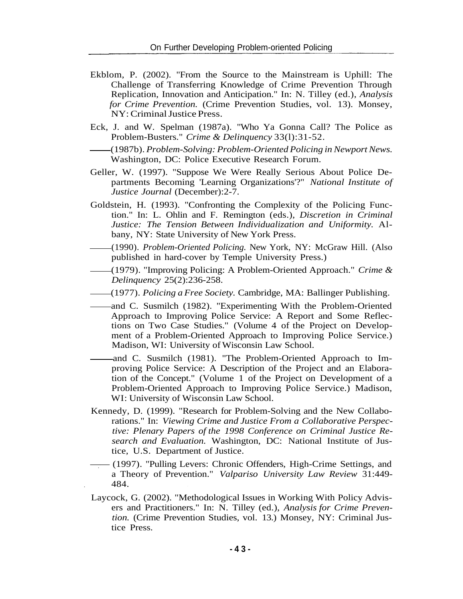- Ekblom, P. (2002). "From the Source to the Mainstream is Uphill: The Challenge of Transferring Knowledge of Crime Prevention Through Replication, Innovation and Anticipation." In: N. Tilley (ed.), *Analysis for Crime Prevention.* (Crime Prevention Studies, vol. 13). Monsey, NY: Criminal Justice Press.
- Eck, J. and W. Spelman (1987a). "Who Ya Gonna Call? The Police as Problem-Busters." *Crime & Delinquency* 33(l):31-52.
	- (1987b). *Problem-Solving: Problem-Oriented Policing in Newport News.* Washington, DC: Police Executive Research Forum.
- Geller, W. (1997). "Suppose We Were Really Serious About Police Departments Becoming 'Learning Organizations'?" *National Institute of Justice Journal* (December):2-7.
- Goldstein, H. (1993). "Confronting the Complexity of the Policing Function." In: L. Ohlin and F. Remington (eds.), *Discretion in Criminal Justice: The Tension Between Individualization and Uniformity.* Albany, NY: State University of New York Press.
- (1990). *Problem-Oriented Policing.* New York, NY: McGraw Hill. (Also published in hard-cover by Temple University Press.)
- (1979). "Improving Policing: A Problem-Oriented Approach." *Crime & Delinquency* 25(2):236-258.
- (1977). *Policing a Free Society.* Cambridge, MA: Ballinger Publishing.
- and C. Susmilch (1982). "Experimenting With the Problem-Oriented Approach to Improving Police Service: A Report and Some Reflections on Two Case Studies." (Volume 4 of the Project on Development of a Problem-Oriented Approach to Improving Police Service.) Madison, WI: University of Wisconsin Law School.
- and C. Susmilch (1981). "The Problem-Oriented Approach to Improving Police Service: A Description of the Project and an Elaboration of the Concept." (Volume 1 of the Project on Development of a Problem-Oriented Approach to Improving Police Service.) Madison, WI: University of Wisconsin Law School.
- Kennedy, D. (1999). "Research for Problem-Solving and the New Collaborations." In: *Viewing Crime and Justice From a Collaborative Perspective: Plenary Papers of the 1998 Conference on Criminal Justice Research and Evaluation.* Washington, DC: National Institute of Justice, U.S. Department of Justice.
- —— (1997). "Pulling Levers: Chronic Offenders, High-Crime Settings, and a Theory of Prevention." *Valpariso University Law Review* 31:449- 484.
- Laycock, G. (2002). "Methodological Issues in Working With Policy Advisers and Practitioners." In: N. Tilley (ed.), *Analysis for Crime Prevention.* (Crime Prevention Studies, vol. 13.) Monsey, NY: Criminal Justice Press.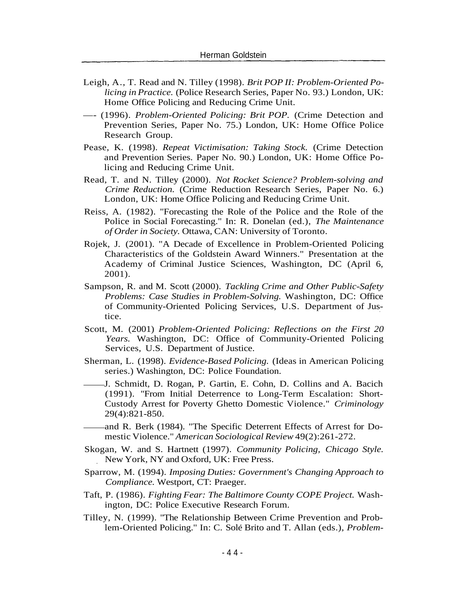- Leigh, A., T. Read and N. Tilley (1998). *Brit POP II: Problem-Oriented Policing in Practice.* (Police Research Series, Paper No. 93.) London, UK: Home Office Policing and Reducing Crime Unit.
- —- (1996). *Problem-Oriented Policing: Brit POP.* (Crime Detection and Prevention Series, Paper No. 75.) London, UK: Home Office Police Research Group.
- Pease, K. (1998). *Repeat Victimisation: Taking Stock.* (Crime Detection and Prevention Series. Paper No. 90.) London, UK: Home Office Policing and Reducing Crime Unit.
- Read, T. and N. Tilley (2000). *Not Rocket Science? Problem-solving and Crime Reduction.* (Crime Reduction Research Series, Paper No. 6.) London, UK: Home Office Policing and Reducing Crime Unit.
- Reiss, A. (1982). "Forecasting the Role of the Police and the Role of the Police in Social Forecasting." In: R. Donelan (ed.), *The Maintenance of Order in Society.* Ottawa, CAN: University of Toronto.
- Rojek, J. (2001). "A Decade of Excellence in Problem-Oriented Policing Characteristics of the Goldstein Award Winners." Presentation at the Academy of Criminal Justice Sciences, Washington, DC (April 6, 2001).
- Sampson, R. and M. Scott (2000). *Tackling Crime and Other Public-Safety Problems: Case Studies in Problem-Solving.* Washington, DC: Office of Community-Oriented Policing Services, U.S. Department of Justice.
- Scott, M. (2001) *Problem-Oriented Policing: Reflections on the First 20 Years.* Washington, DC: Office of Community-Oriented Policing Services, U.S. Department of Justice.
- Sherman, L. (1998). *Evidence-Based Policing.* (Ideas in American Policing series.) Washington, DC: Police Foundation.
- J. Schmidt, D. Rogan, P. Gartin, E. Cohn, D. Collins and A. Bacich (1991). "From Initial Deterrence to Long-Term Escalation: Short-Custody Arrest for Poverty Ghetto Domestic Violence." *Criminology* 29(4):821-850.
- and R. Berk (1984). "The Specific Deterrent Effects of Arrest for Domestic Violence." *American Sociological Review* 49(2):261-272.
- Skogan, W. and S. Hartnett (1997). *Community Policing, Chicago Style.* New York, NY and Oxford, UK: Free Press.
- Sparrow, M. (1994). *Imposing Duties: Government's Changing Approach to Compliance.* Westport, CT: Praeger.
- Taft, P. (1986). *Fighting Fear: The Baltimore County COPE Project.* Washington, DC: Police Executive Research Forum.
- Tilley, N. (1999). "The Relationship Between Crime Prevention and Problem-Oriented Policing." In: C. Sole Brito and T. Allan (eds.), *Problem-*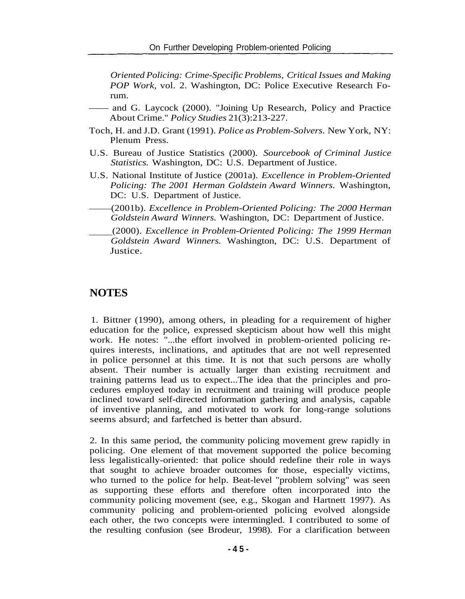*Oriented Policing: Crime-Specific Problems, Critical Issues and Making POP Work,* vol. 2. Washington, DC: Police Executive Research Forum.

- —— and G. Laycock (2000). "Joining Up Research, Policy and Practice About Crime." *Policy Studies* 21(3):213-227.
- Toch, H. and J.D. Grant (1991). *Police as Problem-Solvers.* New York, NY: Plenum Press.
- U.S. Bureau of Justice Statistics (2000). *Sourcebook of Criminal Justice Statistics.* Washington, DC: U.S. Department of Justice.
- U.S. National Institute of Justice (2001a). *Excellence in Problem-Oriented Policing: The 2001 Herman Goldstein Award Winners.* Washington, DC: U.S. Department of Justice.
- (2001b). *Excellence in Problem-Oriented Policing: The 2000 Herman Goldstein Award Winners.* Washington, DC: Department of Justice.
	- (2000). *Excellence in Problem-Oriented Policing: The 1999 Herman Goldstein Award Winners.* Washington, DC: U.S. Department of Justice.

#### **NOTES**

1. Bittner (1990), among others, in pleading for a requirement of higher education for the police, expressed skepticism about how well this might work. He notes: "...the effort involved in problem-oriented policing requires interests, inclinations, and aptitudes that are not well represented in police personnel at this time. It is not that such persons are wholly absent. Their number is actually larger than existing recruitment and training patterns lead us to expect...The idea that the principles and procedures employed today in recruitment and training will produce people inclined toward self-directed information gathering and analysis, capable of inventive planning, and motivated to work for long-range solutions seems absurd; and farfetched is better than absurd.

2. In this same period, the community policing movement grew rapidly in policing. One element of that movement supported the police becoming less legalistically-oriented: that police should redefine their role in ways that sought to achieve broader outcomes for those, especially victims, who turned to the police for help. Beat-level "problem solving" was seen as supporting these efforts and therefore often incorporated into the community policing movement (see, e.g., Skogan and Hartnett 1997). As community policing and problem-oriented policing evolved alongside each other, the two concepts were intermingled. I contributed to some of the resulting confusion (see Brodeur, 1998). For a clarification between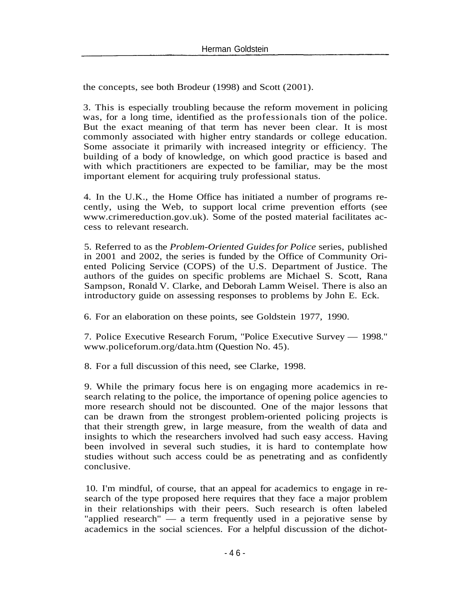the concepts, see both Brodeur (1998) and Scott (2001).

3. This is especially troubling because the reform movement in policing was, for a long time, identified as the professionals tion of the police. But the exact meaning of that term has never been clear. It is most commonly associated with higher entry standards or college education. Some associate it primarily with increased integrity or efficiency. The building of a body of knowledge, on which good practice is based and with which practitioners are expected to be familiar, may be the most important element for acquiring truly professional status.

4. In the U.K., the Home Office has initiated a number of programs recently, using the Web, to support local crime prevention efforts (see www.crimereduction.gov.uk). Some of the posted material facilitates access to relevant research.

5. Referred to as the *Problem-Oriented Guides for Police* series, published in 2001 and 2002, the series is funded by the Office of Community Oriented Policing Service (COPS) of the U.S. Department of Justice. The authors of the guides on specific problems are Michael S. Scott, Rana Sampson, Ronald V. Clarke, and Deborah Lamm Weisel. There is also an introductory guide on assessing responses to problems by John E. Eck.

6. For an elaboration on these points, see Goldstein 1977, 1990.

7. Police Executive Research Forum, "Police Executive Survey — 1998." www.policeforum.org/data.htm (Question No. 45).

8. For a full discussion of this need, see Clarke, 1998.

9. While the primary focus here is on engaging more academics in research relating to the police, the importance of opening police agencies to more research should not be discounted. One of the major lessons that can be drawn from the strongest problem-oriented policing projects is that their strength grew, in large measure, from the wealth of data and insights to which the researchers involved had such easy access. Having been involved in several such studies, it is hard to contemplate how studies without such access could be as penetrating and as confidently conclusive.

10. I'm mindful, of course, that an appeal for academics to engage in research of the type proposed here requires that they face a major problem in their relationships with their peers. Such research is often labeled "applied research" — a term frequently used in a pejorative sense by academics in the social sciences. For a helpful discussion of the dichot